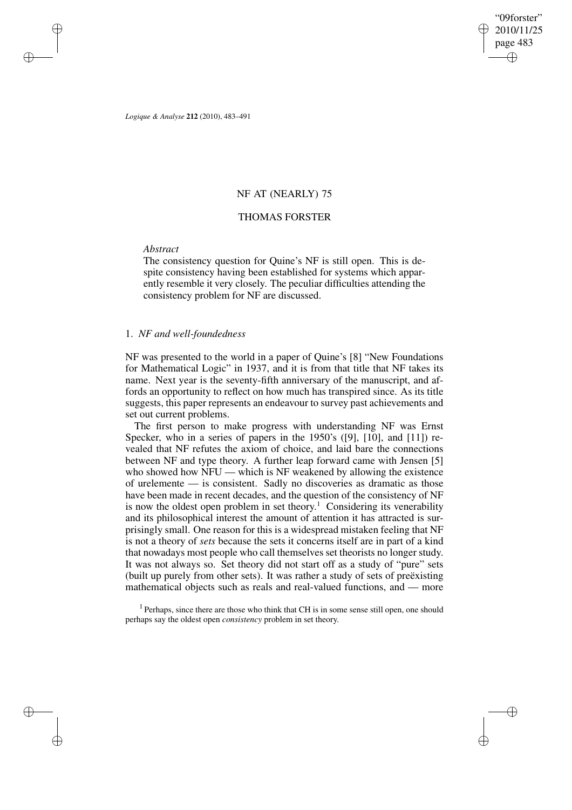"09forster" 2010/11/25 page 483 ✐ ✐

✐

✐

*Logique & Analyse* **212** (2010), 483–491

# NF AT (NEARLY) 75

## THOMAS FORSTER

#### *Abstract*

✐

✐

✐

✐

The consistency question for Quine's NF is still open. This is despite consistency having been established for systems which apparently resemble it very closely. The peculiar difficulties attending the consistency problem for NF are discussed.

## 1. *NF and well-foundedness*

NF was presented to the world in a paper of Quine's [8] "New Foundations for Mathematical Logic" in 1937, and it is from that title that NF takes its name. Next year is the seventy-fifth anniversary of the manuscript, and affords an opportunity to reflect on how much has transpired since. As its title suggests, this paper represents an endeavour to survey past achievements and set out current problems.

The first person to make progress with understanding NF was Ernst Specker, who in a series of papers in the 1950's ([9], [10], and [11]) revealed that NF refutes the axiom of choice, and laid bare the connections between NF and type theory. A further leap forward came with Jensen [5] who showed how NFU — which is NF weakened by allowing the existence of urelemente — is consistent. Sadly no discoveries as dramatic as those have been made in recent decades, and the question of the consistency of NF is now the oldest open problem in set theory. <sup>1</sup> Considering its venerability and its philosophical interest the amount of attention it has attracted is surprisingly small. One reason for this is a widespread mistaken feeling that NF is not a theory of *sets* because the sets it concerns itself are in part of a kind that nowadays most people who call themselves set theorists no longer study. It was not always so. Set theory did not start off as a study of "pure" sets (built up purely from other sets). It was rather a study of sets of preëxisting mathematical objects such as reals and real-valued functions, and — more

<sup>1</sup> Perhaps, since there are those who think that CH is in some sense still open, one should perhaps say the oldest open *consistency* problem in set theory.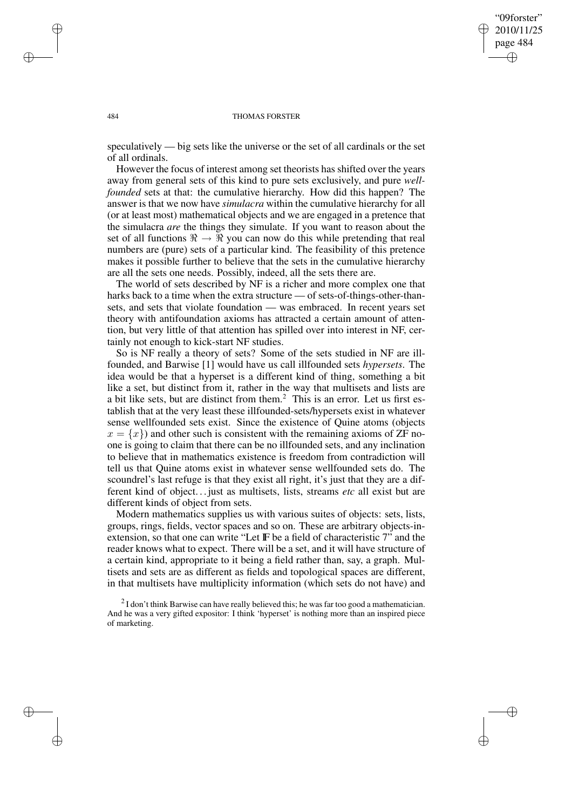✐

✐

#### 484 THOMAS FORSTER

speculatively — big sets like the universe or the set of all cardinals or the set of all ordinals.

However the focus of interest among set theorists has shifted over the years away from general sets of this kind to pure sets exclusively, and pure *wellfounded* sets at that: the cumulative hierarchy. How did this happen? The answer is that we now have *simulacra* within the cumulative hierarchy for all (or at least most) mathematical objects and we are engaged in a pretence that the simulacra *are* the things they simulate. If you want to reason about the set of all functions  $\Re \rightarrow \Re$  you can now do this while pretending that real numbers are (pure) sets of a particular kind. The feasibility of this pretence makes it possible further to believe that the sets in the cumulative hierarchy are all the sets one needs. Possibly, indeed, all the sets there are.

The world of sets described by NF is a richer and more complex one that harks back to a time when the extra structure — of sets-of-things-other-thansets, and sets that violate foundation — was embraced. In recent years set theory with antifoundation axioms has attracted a certain amount of attention, but very little of that attention has spilled over into interest in NF, certainly not enough to kick-start NF studies.

So is NF really a theory of sets? Some of the sets studied in NF are illfounded, and Barwise [1] would have us call illfounded sets *hypersets*. The idea would be that a hyperset is a different kind of thing, something a bit like a set, but distinct from it, rather in the way that multisets and lists are a bit like sets, but are distinct from them.<sup>2</sup> This is an error. Let us first establish that at the very least these illfounded-sets/hypersets exist in whatever sense wellfounded sets exist. Since the existence of Quine atoms (objects  $x = \{x\}$  and other such is consistent with the remaining axioms of ZF noone is going to claim that there can be no illfounded sets, and any inclination to believe that in mathematics existence is freedom from contradiction will tell us that Quine atoms exist in whatever sense wellfounded sets do. The scoundrel's last refuge is that they exist all right, it's just that they are a different kind of object... just as multisets, lists, streams *etc* all exist but are different kinds of object from sets.

Modern mathematics supplies us with various suites of objects: sets, lists, groups, rings, fields, vector spaces and so on. These are arbitrary objects-inextension, so that one can write "Let IF be a field of characteristic 7" and the reader knows what to expect. There will be a set, and it will have structure of a certain kind, appropriate to it being a field rather than, say, a graph. Multisets and sets are as different as fields and topological spaces are different, in that multisets have multiplicity information (which sets do not have) and

✐

✐

✐

 $2$ I don't think Barwise can have really believed this; he was far too good a mathematician. And he was a very gifted expositor: I think 'hyperset' is nothing more than an inspired piece of marketing.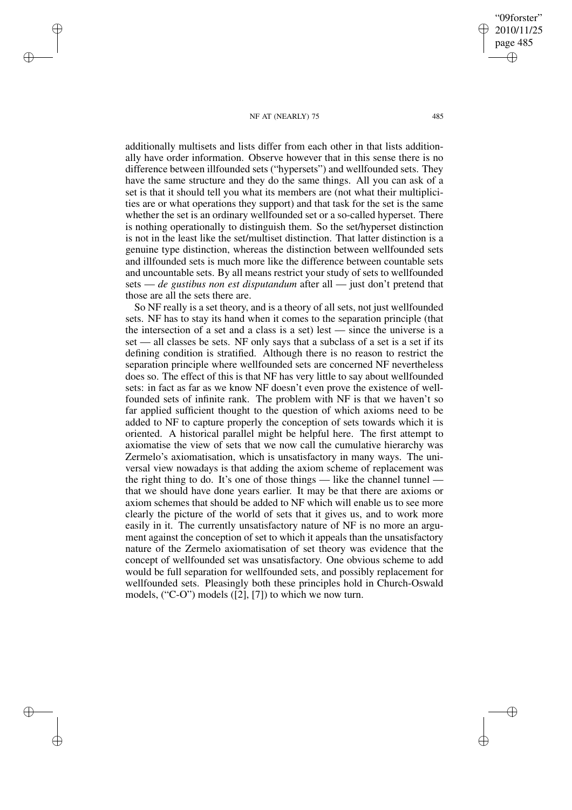"09forster" 2010/11/25 page 485 ✐ ✐

✐

✐

#### NF AT (NEARLY) 75 485

✐

✐

✐

✐

additionally multisets and lists differ from each other in that lists additionally have order information. Observe however that in this sense there is no difference between illfounded sets ("hypersets") and wellfounded sets. They have the same structure and they do the same things. All you can ask of a set is that it should tell you what its members are (not what their multiplicities are or what operations they support) and that task for the set is the same whether the set is an ordinary wellfounded set or a so-called hyperset. There is nothing operationally to distinguish them. So the set/hyperset distinction is not in the least like the set/multiset distinction. That latter distinction is a genuine type distinction, whereas the distinction between wellfounded sets and illfounded sets is much more like the difference between countable sets and uncountable sets. By all means restrict your study of sets to wellfounded sets — *de gustibus non est disputandum* after all — just don't pretend that those are all the sets there are.

So NF really is a set theory, and is a theory of all sets, not just wellfounded sets. NF has to stay its hand when it comes to the separation principle (that the intersection of a set and a class is a set) lest — since the universe is a set — all classes be sets. NF only says that a subclass of a set is a set if its defining condition is stratified. Although there is no reason to restrict the separation principle where wellfounded sets are concerned NF nevertheless does so. The effect of this is that NF has very little to say about wellfounded sets: in fact as far as we know NF doesn't even prove the existence of wellfounded sets of infinite rank. The problem with NF is that we haven't so far applied sufficient thought to the question of which axioms need to be added to NF to capture properly the conception of sets towards which it is oriented. A historical parallel might be helpful here. The first attempt to axiomatise the view of sets that we now call the cumulative hierarchy was Zermelo's axiomatisation, which is unsatisfactory in many ways. The universal view nowadays is that adding the axiom scheme of replacement was the right thing to do. It's one of those things — like the channel tunnel that we should have done years earlier. It may be that there are axioms or axiom schemes that should be added to NF which will enable us to see more clearly the picture of the world of sets that it gives us, and to work more easily in it. The currently unsatisfactory nature of NF is no more an argument against the conception of set to which it appeals than the unsatisfactory nature of the Zermelo axiomatisation of set theory was evidence that the concept of wellfounded set was unsatisfactory. One obvious scheme to add would be full separation for wellfounded sets, and possibly replacement for wellfounded sets. Pleasingly both these principles hold in Church-Oswald models, ("C-O") models ([2], [7]) to which we now turn.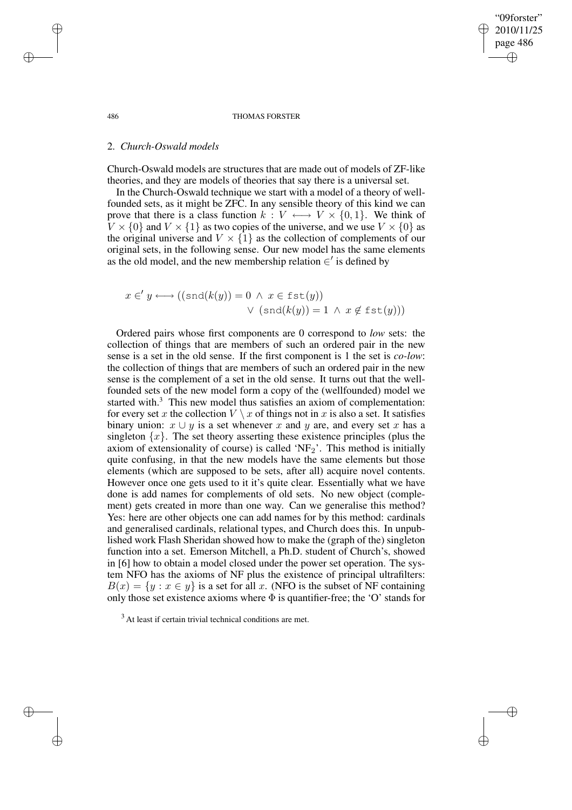"09forster" 2010/11/25 page 486 ✐ ✐

✐

✐

#### 486 THOMAS FORSTER

#### 2. *Church-Oswald models*

Church-Oswald models are structures that are made out of models of ZF-like theories, and they are models of theories that say there is a universal set.

In the Church-Oswald technique we start with a model of a theory of wellfounded sets, as it might be ZFC. In any sensible theory of this kind we can prove that there is a class function  $k : V \longleftrightarrow V \times \{0,1\}$ . We think of  $V \times \{0\}$  and  $V \times \{1\}$  as two copies of the universe, and we use  $V \times \{0\}$  as the original universe and  $V \times \{1\}$  as the collection of complements of our original sets, in the following sense. Our new model has the same elements as the old model, and the new membership relation  $\in'$  is defined by

$$
x \in' y \longleftrightarrow ((\text{snd}(k(y))) = 0 \land x \in \text{fst}(y))
$$
  

$$
\lor (\text{snd}(k(y)) = 1 \land x \notin \text{fst}(y)))
$$

Ordered pairs whose first components are 0 correspond to *low* sets: the collection of things that are members of such an ordered pair in the new sense is a set in the old sense. If the first component is 1 the set is *co-low*: the collection of things that are members of such an ordered pair in the new sense is the complement of a set in the old sense. It turns out that the wellfounded sets of the new model form a copy of the (wellfounded) model we started with. $3$  This new model thus satisfies an axiom of complementation: for every set x the collection  $V \setminus x$  of things not in x is also a set. It satisfies binary union:  $x \cup y$  is a set whenever x and y are, and every set x has a singleton  $\{x\}$ . The set theory asserting these existence principles (plus the axiom of extensionality of course) is called 'NF $_2$ '. This method is initially quite confusing, in that the new models have the same elements but those elements (which are supposed to be sets, after all) acquire novel contents. However once one gets used to it it's quite clear. Essentially what we have done is add names for complements of old sets. No new object (complement) gets created in more than one way. Can we generalise this method? Yes: here are other objects one can add names for by this method: cardinals and generalised cardinals, relational types, and Church does this. In unpublished work Flash Sheridan showed how to make the (graph of the) singleton function into a set. Emerson Mitchell, a Ph.D. student of Church's, showed in [6] how to obtain a model closed under the power set operation. The system NFO has the axioms of NF plus the existence of principal ultrafilters:  $B(x) = \{y : x \in y\}$  is a set for all x. (NFO is the subset of NF containing only those set existence axioms where  $\Phi$  is quantifier-free; the 'O' stands for

 $3$  At least if certain trivial technical conditions are met.

✐

✐

✐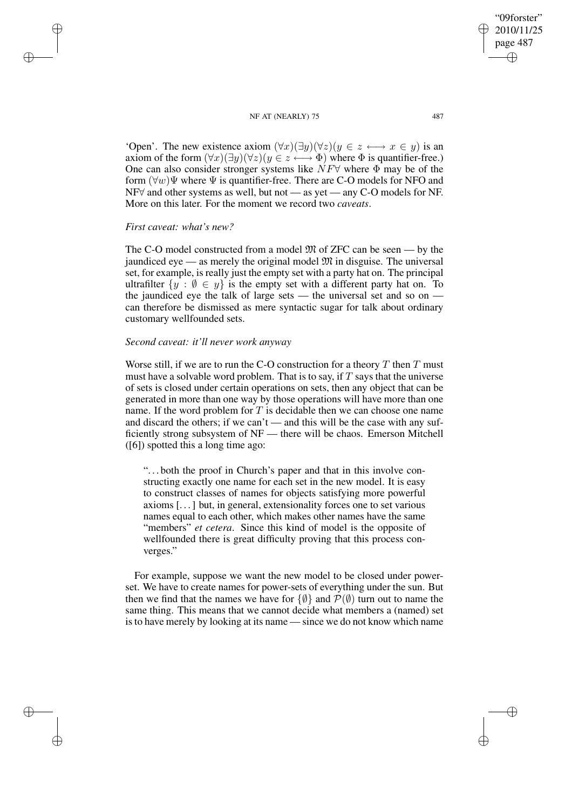NF AT (NEARLY) 75 487 'Open'. The new existence axiom  $(\forall x)(\exists y)(\forall z)(y \in z \longleftrightarrow x \in y)$  is an axiom of the form  $(\forall x)(\exists y)(\forall z)(y \in z \longleftrightarrow \Phi)$  where  $\Phi$  is quantifier-free.)

One can also consider stronger systems like  $\overline{NF}$  where  $\overline{\Phi}$  may be of the form  $(\forall w)\Psi$  where  $\Psi$  is quantifier-free. There are C-O models for NFO and NF∀ and other systems as well, but not — as yet — any C-O models for NF. More on this later. For the moment we record two *caveats*.

## *First caveat: what's new?*

✐

✐

✐

✐

The C-O model constructed from a model  $\mathfrak{M}$  of ZFC can be seen — by the jaundiced eye — as merely the original model  $\mathfrak{M}$  in disguise. The universal set, for example, is really just the empty set with a party hat on. The principal ultrafilter  $\{y : \emptyset \in y\}$  is the empty set with a different party hat on. To the jaundiced eye the talk of large sets — the universal set and so on can therefore be dismissed as mere syntactic sugar for talk about ordinary customary wellfounded sets.

# *Second caveat: it'll never work anyway*

Worse still, if we are to run the C-O construction for a theory  $T$  then  $T$  must must have a solvable word problem. That is to say, if  $T$  says that the universe of sets is closed under certain operations on sets, then any object that can be generated in more than one way by those operations will have more than one name. If the word problem for  $T$  is decidable then we can choose one name and discard the others; if we can't — and this will be the case with any sufficiently strong subsystem of NF — there will be chaos. Emerson Mitchell ([6]) spotted this a long time ago:

". . . both the proof in Church's paper and that in this involve constructing exactly one name for each set in the new model. It is easy to construct classes of names for objects satisfying more powerful axioms [. . .] but, in general, extensionality forces one to set various names equal to each other, which makes other names have the same "members" *et cetera*. Since this kind of model is the opposite of wellfounded there is great difficulty proving that this process converges."

For example, suppose we want the new model to be closed under powerset. We have to create names for power-sets of everything under the sun. But then we find that the names we have for  $\{\emptyset\}$  and  $\mathcal{P}(\emptyset)$  turn out to name the same thing. This means that we cannot decide what members a (named) set isto have merely by looking at its name — since we do not know which name

"09forster" 2010/11/25 page 487 ✐ ✐

✐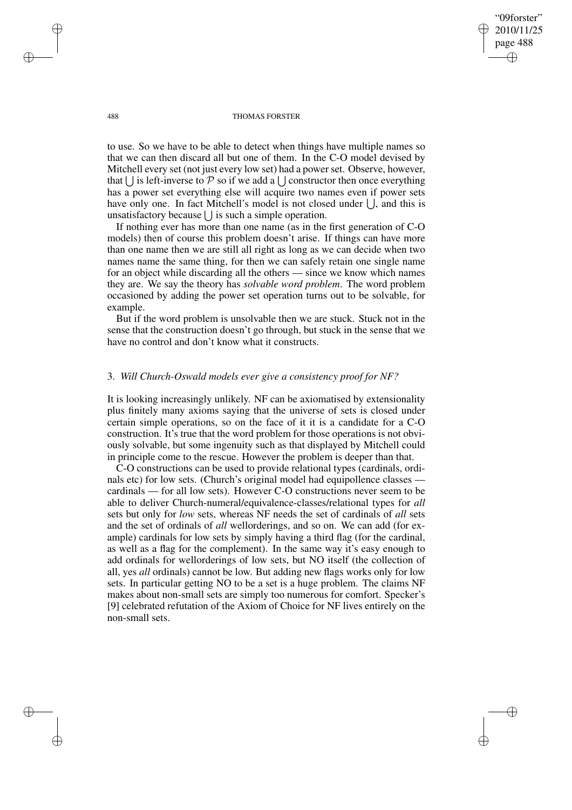"09forster" 2010/11/25 page 488 ✐ ✐

✐

✐

#### 488 THOMAS FORSTER

to use. So we have to be able to detect when things have multiple names so that we can then discard all but one of them. In the C-O model devised by Mitchell every set (not just every low set) had a power set. Observe, however, that  $\bigcup$  is left-inverse to P so if we add a  $\bigcup$  constructor then once everything has a power set everything else will acquire two names even if power sets have only one. In fact Mitchell's model is not closed under  $\bigcup$ , and this is unsatisfactory because  $\bigcup$  is such a simple operation.

If nothing ever has more than one name (as in the first generation of C-O models) then of course this problem doesn't arise. If things can have more than one name then we are still all right as long as we can decide when two names name the same thing, for then we can safely retain one single name for an object while discarding all the others — since we know which names they are. We say the theory has *solvable word problem*. The word problem occasioned by adding the power set operation turns out to be solvable, for example.

But if the word problem is unsolvable then we are stuck. Stuck not in the sense that the construction doesn't go through, but stuck in the sense that we have no control and don't know what it constructs.

# 3. *Will Church-Oswald models ever give a consistency proof for NF?*

It is looking increasingly unlikely. NF can be axiomatised by extensionality plus finitely many axioms saying that the universe of sets is closed under certain simple operations, so on the face of it it is a candidate for a C-O construction. It's true that the word problem for those operations is not obviously solvable, but some ingenuity such as that displayed by Mitchell could in principle come to the rescue. However the problem is deeper than that.

C-O constructions can be used to provide relational types (cardinals, ordinals etc) for low sets. (Church's original model had equipollence classes cardinals — for all low sets). However C-O constructions never seem to be able to deliver Church-numeral/equivalence-classes/relational types for *all* sets but only for *low* sets, whereas NF needs the set of cardinals of *all* sets and the set of ordinals of *all* wellorderings, and so on. We can add (for example) cardinals for low sets by simply having a third flag (for the cardinal, as well as a flag for the complement). In the same way it's easy enough to add ordinals for wellorderings of low sets, but NO itself (the collection of all, yes *all* ordinals) cannot be low. But adding new flags works only for low sets. In particular getting NO to be a set is a huge problem. The claims NF makes about non-small sets are simply too numerous for comfort. Specker's [9] celebrated refutation of the Axiom of Choice for NF lives entirely on the non-small sets.

✐

✐

✐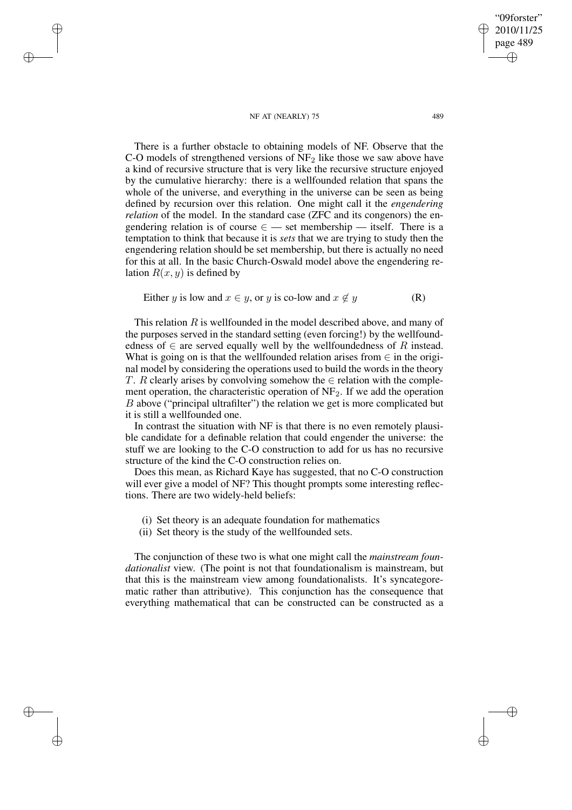#### NF AT (NEARLY) 75 489

✐

✐

✐

✐

2010/11/25 page 489 ✐ ✐

"09forster"

✐

✐

There is a further obstacle to obtaining models of NF. Observe that the C-O models of strengthened versions of  $NF<sub>2</sub>$  like those we saw above have a kind of recursive structure that is very like the recursive structure enjoyed by the cumulative hierarchy: there is a wellfounded relation that spans the whole of the universe, and everything in the universe can be seen as being defined by recursion over this relation. One might call it the *engendering relation* of the model. In the standard case (ZFC and its congenors) the engendering relation is of course  $\epsilon$  — set membership — itself. There is a temptation to think that because it is *sets* that we are trying to study then the engendering relation should be set membership, but there is actually no need for this at all. In the basic Church-Oswald model above the engendering relation  $R(x, y)$  is defined by

Either *y* is low and 
$$
x \in y
$$
, or *y* is co-low and  $x \notin y$  (R)

This relation  $R$  is wellfounded in the model described above, and many of the purposes served in the standard setting (even forcing!) by the wellfoundedness of  $\in$  are served equally well by the wellfoundedness of R instead. What is going on is that the wellfounded relation arises from  $\in$  in the original model by considering the operations used to build the words in the theory T. R clearly arises by convolving somehow the  $\in$  relation with the complement operation, the characteristic operation of  $NF<sub>2</sub>$ . If we add the operation B above ("principal ultrafilter") the relation we get is more complicated but it is still a wellfounded one.

In contrast the situation with NF is that there is no even remotely plausible candidate for a definable relation that could engender the universe: the stuff we are looking to the C-O construction to add for us has no recursive structure of the kind the C-O construction relies on.

Does this mean, as Richard Kaye has suggested, that no C-O construction will ever give a model of NF? This thought prompts some interesting reflections. There are two widely-held beliefs:

- (i) Set theory is an adequate foundation for mathematics
- (ii) Set theory is the study of the wellfounded sets.

The conjunction of these two is what one might call the *mainstream foundationalist* view. (The point is not that foundationalism is mainstream, but that this is the mainstream view among foundationalists. It's syncategorematic rather than attributive). This conjunction has the consequence that everything mathematical that can be constructed can be constructed as a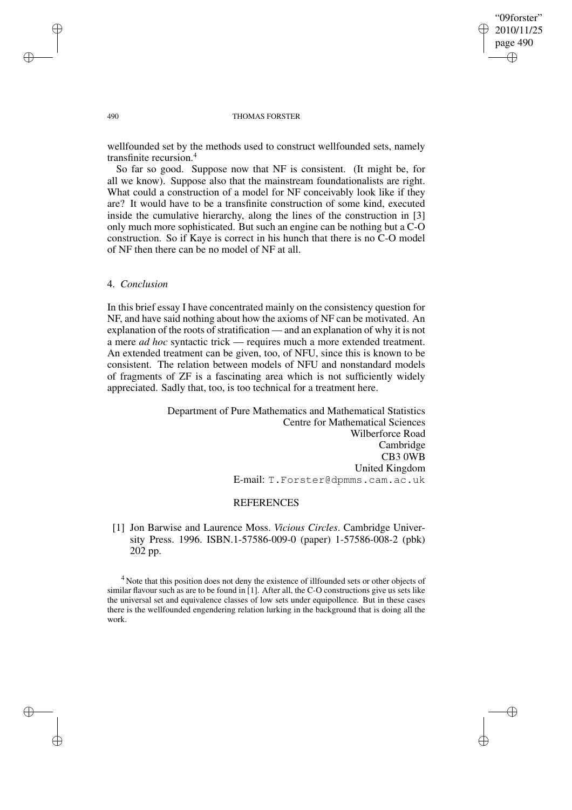✐

✐

#### 490 THOMAS FORSTER

wellfounded set by the methods used to construct wellfounded sets, namely transfinite recursion.<sup>4</sup>

So far so good. Suppose now that NF is consistent. (It might be, for all we know). Suppose also that the mainstream foundationalists are right. What could a construction of a model for NF conceivably look like if they are? It would have to be a transfinite construction of some kind, executed inside the cumulative hierarchy, along the lines of the construction in [3] only much more sophisticated. But such an engine can be nothing but a C-O construction. So if Kaye is correct in his hunch that there is no C-O model of NF then there can be no model of NF at all.

## 4. *Conclusion*

In this brief essay I have concentrated mainly on the consistency question for NF, and have said nothing about how the axioms of NF can be motivated. An explanation of the roots of stratification — and an explanation of why it is not a mere *ad hoc* syntactic trick — requires much a more extended treatment. An extended treatment can be given, too, of NFU, since this is known to be consistent. The relation between models of NFU and nonstandard models of fragments of ZF is a fascinating area which is not sufficiently widely appreciated. Sadly that, too, is too technical for a treatment here.

> Department of Pure Mathematics and Mathematical Statistics Centre for Mathematical Sciences Wilberforce Road Cambridge CB3 0WB United Kingdom E-mail: T.Forster@dpmms.cam.ac.uk

### **REFERENCES**

[1] Jon Barwise and Laurence Moss. *Vicious Circles*. Cambridge University Press. 1996. ISBN.1-57586-009-0 (paper) 1-57586-008-2 (pbk) 202 pp.

<sup>4</sup> Note that this position does not deny the existence of illfounded sets or other objects of similar flavour such as are to be found in [1]. After all, the C-O constructions give us sets like the universal set and equivalence classes of low sets under equipollence. But in these cases there is the wellfounded engendering relation lurking in the background that is doing all the work.

✐

✐

✐